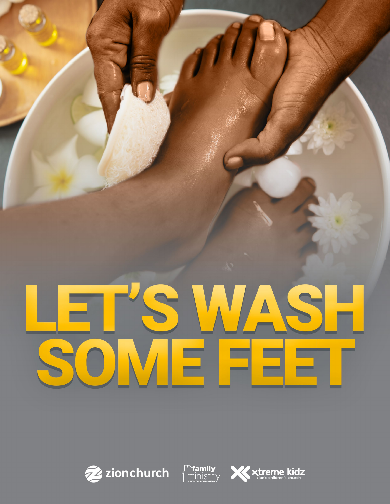





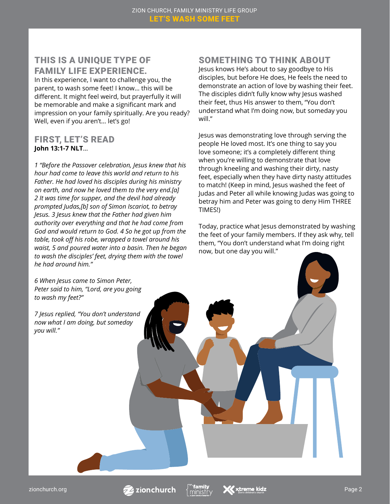#### THIS IS A UNIQUE TYPE OF FAMILY LIFE EXPERIENCE.

In this experience, I want to challenge you, the parent, to wash some feet! I know… this will be different. It might feel weird, but prayerfully it will be memorable and make a significant mark and impression on your family spiritually. Are you ready? Well, even if you aren't… let's go!

#### FIRST, LET'S READ **John 13:1-7 NLT**…

*1 "Before the Passover celebration, Jesus knew that his hour had come to leave this world and return to his Father. He had loved his disciples during his ministry on earth, and now he loved them to the very end.[a] 2 It was time for supper, and the devil had already prompted Judas,[b] son of Simon Iscariot, to betray Jesus. 3 Jesus knew that the Father had given him authority over everything and that he had come from God and would return to God. 4 So he got up from the table, took off his robe, wrapped a towel around his waist, 5 and poured water into a basin. Then he began to wash the disciples' feet, drying them with the towel he had around him."*

*6 When Jesus came to Simon Peter, Peter said to him, "Lord, are you going to wash my feet?"*

*7 Jesus replied, "You don't understand now what I am doing, but someday you will."*

## SOMETHING TO THINK ABOUT

Jesus knows He's about to say goodbye to His disciples, but before He does, He feels the need to demonstrate an action of love by washing their feet. The disciples didn't fully know why Jesus washed their feet, thus His answer to them, "You don't understand what I'm doing now, but someday you will."

Jesus was demonstrating love through serving the people He loved most. It's one thing to say you love someone; it's a completely different thing when you're willing to demonstrate that love through kneeling and washing their dirty, nasty feet, especially when they have dirty nasty attitudes to match! (Keep in mind, Jesus washed the feet of Judas and Peter all while knowing Judas was going to betray him and Peter was going to deny Him THREE TIMES!)

Today, practice what Jesus demonstrated by washing the feet of your family members. If they ask why, tell them, "You don't understand what I'm doing right now, but one day you will."

zionchurch.org  $\overline{Z}$  zionchurch  $\frac{1}{2}$  and  $\frac{1}{2}$  and  $\frac{1}{2}$  and  $\frac{1}{2}$  and  $\frac{1}{2}$  and  $\frac{1}{2}$  and  $\frac{1}{2}$  and  $\frac{1}{2}$  and  $\frac{1}{2}$  and  $\frac{1}{2}$  and  $\frac{1}{2}$  and  $\frac{1}{2}$  and  $\frac{1}{2}$  and  $\frac{$